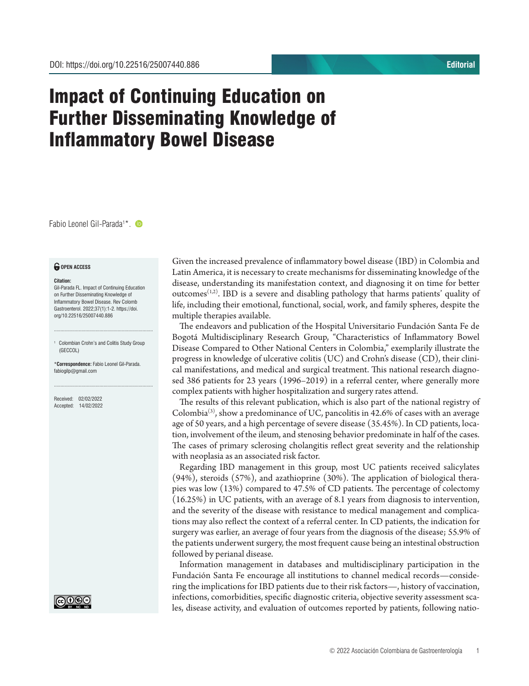## Impact of Continuing Education on Further Disseminating Knowledge of Inflammatory Bowel Disease

Fabio Leonel Gil-Parada1 \*.

## *<u>O</del>* OPEN ACCESS</u>

## **Citation:**

Gil-Parada FL. Impact of Continuing Education on Further Disseminating Knowledge of Inflammatory Bowel Disease. Rev Colomb Gastroenterol. 2022;37(1):1-2. https://doi. org/10.22516/25007440.886

<sup>1</sup> Colombian Crohn's and Colitis Study Group (GECCOL)

............................................................................

\***Correspondence:** Fabio Leonel Gil-Parada. fabiogilp@gmail.com

............................................................................

Received: 02/02/2022 Accepted: 14/02/2022



Given the increased prevalence of inflammatory bowel disease (IBD) in Colombia and Latin America, it is necessary to create mechanisms for disseminating knowledge of the disease, understanding its manifestation context, and diagnosing it on time for better outcomes<sup> $(1,2)$ </sup>. IBD is a severe and disabling pathology that harms patients' quality of life, including their emotional, functional, social, work, and family spheres, despite the multiple therapies available.

The endeavors and publication of the Hospital Universitario Fundación Santa Fe de Bogotá Multidisciplinary Research Group, "Characteristics of Inflammatory Bowel Disease Compared to Other National Centers in Colombia," exemplarily illustrate the progress in knowledge of ulcerative colitis (UC) and Crohn's disease (CD), their clinical manifestations, and medical and surgical treatment. This national research diagnosed 386 patients for 23 years (1996–2019) in a referral center, where generally more complex patients with higher hospitalization and surgery rates attend.

The results of this relevant publication, which is also part of the national registry of Colombia<sup>(3)</sup>, show a predominance of UC, pancolitis in 42.6% of cases with an average age of 50 years, and a high percentage of severe disease (35.45%). In CD patients, location, involvement of the ileum, and stenosing behavior predominate in half of the cases. The cases of primary sclerosing cholangitis reflect great severity and the relationship with neoplasia as an associated risk factor.

Regarding IBD management in this group, most UC patients received salicylates (94%), steroids (57%), and azathioprine (30%). The application of biological therapies was low (13%) compared to 47.5% of CD patients. The percentage of colectomy (16.25%) in UC patients, with an average of 8.1 years from diagnosis to intervention, and the severity of the disease with resistance to medical management and complications may also reflect the context of a referral center. In CD patients, the indication for surgery was earlier, an average of four years from the diagnosis of the disease; 55.9% of the patients underwent surgery, the most frequent cause being an intestinal obstruction followed by perianal disease.

Information management in databases and multidisciplinary participation in the Fundación Santa Fe encourage all institutions to channel medical records—considering the implications for IBD patients due to their risk factors—, history of vaccination, infections, comorbidities, specific diagnostic criteria, objective severity assessment scales, disease activity, and evaluation of outcomes reported by patients, following natio